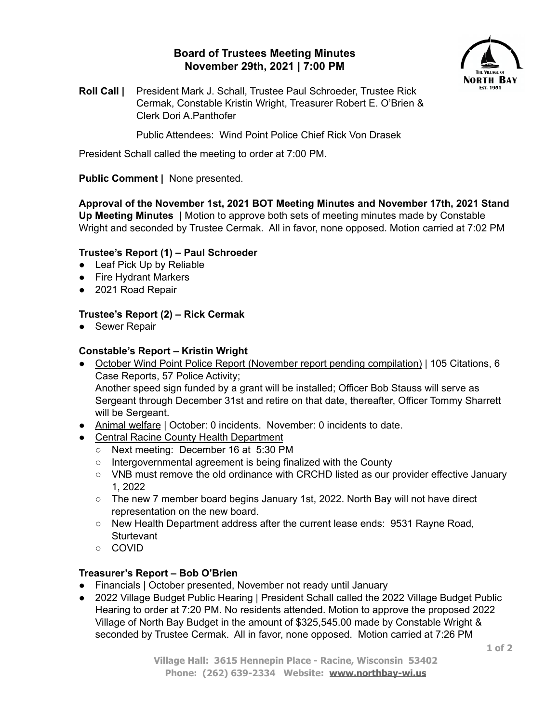# **Board of Trustees Meeting Minutes November 29th, 2021 | 7:00 PM**



**Roll Call |** President Mark J. Schall, Trustee Paul Schroeder, Trustee Rick Cermak, Constable Kristin Wright, Treasurer Robert E. O'Brien & Clerk Dori A.Panthofer

Public Attendees: Wind Point Police Chief Rick Von Drasek

President Schall called the meeting to order at 7:00 PM.

# **Public Comment |** None presented.

**Approval of the November 1st, 2021 BOT Meeting Minutes and November 17th, 2021 Stand Up Meeting Minutes |** Motion to approve both sets of meeting minutes made by Constable Wright and seconded by Trustee Cermak. All in favor, none opposed. Motion carried at 7:02 PM

## **Trustee's Report (1) – Paul Schroeder**

- Leaf Pick Up by Reliable
- Fire Hydrant Markers
- 2021 Road Repair

## **Trustee's Report (2) – Rick Cermak**

● Sewer Repair

## **Constable's Report – Kristin Wright**

● October Wind Point Police Report (November report pending compilation) | 105 Citations, 6 Case Reports, 57 Police Activity;

Another speed sign funded by a grant will be installed; Officer Bob Stauss will serve as Sergeant through December 31st and retire on that date, thereafter, Officer Tommy Sharrett will be Sergeant.

- Animal welfare | October: 0 incidents. November: 0 incidents to date.
- Central Racine County Health Department
	- Next meeting: December 16 at 5:30 PM
	- Intergovernmental agreement is being finalized with the County
	- VNB must remove the old ordinance with CRCHD listed as our provider effective January 1, 2022
	- The new 7 member board begins January 1st, 2022. North Bay will not have direct representation on the new board.
	- New Health Department address after the current lease ends: 9531 Rayne Road, Sturtevant
	- COVID

### **Treasurer's Report – Bob O'Brien**

- Financials | October presented, November not ready until January
- 2022 Village Budget Public Hearing | President Schall called the 2022 Village Budget Public Hearing to order at 7:20 PM. No residents attended. Motion to approve the proposed 2022 Village of North Bay Budget in the amount of \$325,545.00 made by Constable Wright & seconded by Trustee Cermak. All in favor, none opposed. Motion carried at 7:26 PM